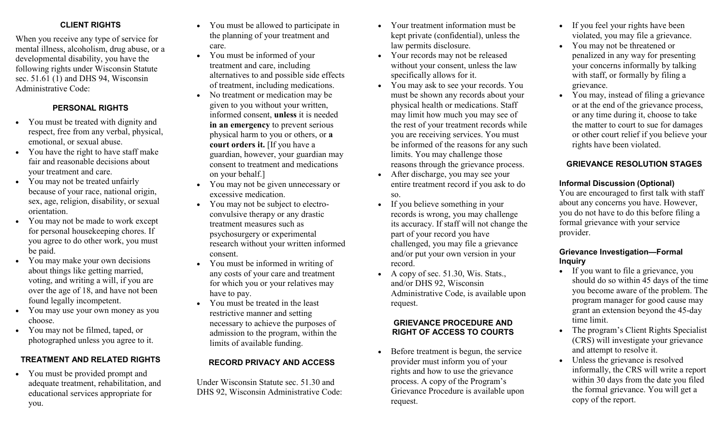## **CLIENT RIGHTS**

When you receive any type of service for mental illness, alcoholism, drug abuse, or a developmental disability, you have the following rights under Wisconsin Statute sec. 51.61 (1) and DHS 94, Wisconsin Administrative Code:

### **PERSONAL RIGHTS**

- You must be treated with dignity and respect, free from any verbal, physical, emotional, or sexual abuse.
- You have the right to have staff make fair and reasonable decisions about your treatment and care.
- You may not be treated unfairly because of your race, national origin, sex, age, religion, disability, or sexual orientation.
- You may not be made to work except for personal housekeeping chores. If you agree to do other work, you must be paid.
- You may make your own decisions about things like getting married, voting, and writing a will, if you are over the age of 18, and have not been found legally incompetent.
- You may use your own money as you choose.
- You may not be filmed, taped, or photographed unless you agree to it.

# **TREATMENT AND RELATED RIGHTS**

• You must be provided prompt and adequate treatment, rehabilitation, and educational services appropriate for you.

- You must be allowed to participate in the planning of your treatment and care.
- You must be informed of your treatment and care, including alternatives to and possible side effects of treatment, including medications.
- No treatment or medication may be given to you without your written, informed consent, **unless** it is needed **in an emergency** to prevent serious physical harm to you or others, or **a court orders it.** [If you have a guardian, however, your guardian may consent to treatment and medications on your behalf.]
- You may not be given unnecessary or excessive medication.
- You may not be subject to electroconvulsive therapy or any drastic treatment measures such as psychosurgery or experimental research without your written informed consent.
- You must be informed in writing of any costs of your care and treatment for which you or your relatives may have to pay.
- You must be treated in the least restrictive manner and setting necessary to achieve the purposes of admission to the program, within the limits of available funding.

# **RECORD PRIVACY AND ACCESS**

Under Wisconsin Statute sec. 51.30 and DHS 92, Wisconsin Administrative Code:

- Your treatment information must be kept private (confidential), unless the law permits disclosure.
- Your records may not be released without your consent, unless the law specifically allows for it.
- You may ask to see your records. You must be shown any records about your physical health or medications. Staff may limit how much you may see of the rest of your treatment records while you are receiving services. You must be informed of the reasons for any such limits. You may challenge those reasons through the grievance process.
- After discharge, you may see your entire treatment record if you ask to do so.
- If you believe something in your records is wrong, you may challenge its accuracy. If staff will not change the part of your record you have challenged, you may file a grievance and/or put your own version in your record.
- A copy of sec.  $51.30$ , Wis. Stats., and/or DHS 92, Wisconsin Administrative Code, is available upon request.

#### **GRIEVANCE PROCEDURE AND RIGHT OF ACCESS TO COURTS**

• Before treatment is begun, the service provider must inform you of your rights and how to use the grievance process. A copy of the Program's Grievance Procedure is available upon request.

- If you feel your rights have been violated, you may file a grievance.
- You may not be threatened or penalized in any way for presenting your concerns informally by talking with staff, or formally by filing a grievance.
- You may, instead of filing a grievance or at the end of the grievance process, or any time during it, choose to take the matter to court to sue for damages or other court relief if you believe your rights have been violated.

# **GRIEVANCE RESOLUTION STAGES**

# **Informal Discussion (Optional)**

You are encouraged to first talk with staff about any concerns you have. However, you do not have to do this before filing a formal grievance with your service provider.

### **Grievance Investigation—Formal Inquiry**

- If you want to file a grievance, you should do so within 45 days of the time you become aware of the problem. The program manager for good cause may grant an extension beyond the 45-day time limit.
- The program's Client Rights Specialist (CRS) will investigate your grievance and attempt to resolve it.
- Unless the grievance is resolved informally, the CRS will write a report within 30 days from the date you filed the formal grievance. You will get a copy of the report.